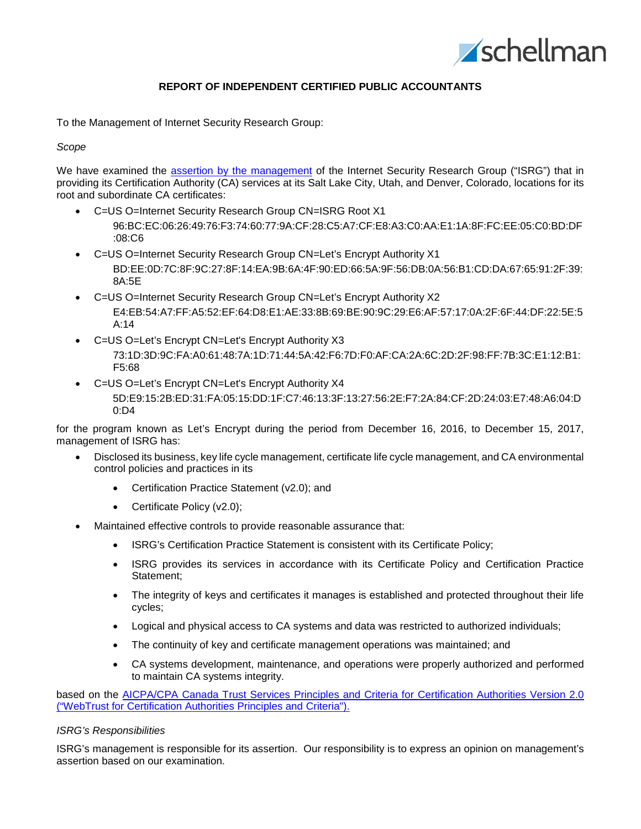

# **REPORT OF INDEPENDENT CERTIFIED PUBLIC ACCOUNTANTS**

To the Management of Internet Security Research Group:

### *Scope*

We have examined the assertion by the [management](#page-2-0) of the Internet Security Research Group ("ISRG") that in providing its Certification Authority (CA) services at its Salt Lake City, Utah, and Denver, Colorado, locations for its root and subordinate CA certificates:

- C=US O=Internet Security Research Group CN=ISRG Root X1 96:BC:EC:06:26:49:76:F3:74:60:77:9A:CF:28:C5:A7:CF:E8:A3:C0:AA:E1:1A:8F:FC:EE:05:C0:BD:DF :08:C6
- C=US O=Internet Security Research Group CN=Let's Encrypt Authority X1 BD:EE:0D:7C:8F:9C:27:8F:14:EA:9B:6A:4F:90:ED:66:5A:9F:56:DB:0A:56:B1:CD:DA:67:65:91:2F:39: 8A:5E
- C=US O=Internet Security Research Group CN=Let's Encrypt Authority X2 E4:EB:54:A7:FF:A5:52:EF:64:D8:E1:AE:33:8B:69:BE:90:9C:29:E6:AF:57:17:0A:2F:6F:44:DF:22:5E:5 A:14
- C=US O=Let's Encrypt CN=Let's Encrypt Authority X3 73:1D:3D:9C:FA:A0:61:48:7A:1D:71:44:5A:42:F6:7D:F0:AF:CA:2A:6C:2D:2F:98:FF:7B:3C:E1:12:B1: F5:68
- C=US O=Let's Encrypt CN=Let's Encrypt Authority X4 5D:E9:15:2B:ED:31:FA:05:15:DD:1F:C7:46:13:3F:13:27:56:2E:F7:2A:84:CF:2D:24:03:E7:48:A6:04:D 0:D4

for the program known as Let's Encrypt during the period from December 16, 2016, to December 15, 2017, management of ISRG has:

- Disclosed its business, key life cycle management, certificate life cycle management, and CA environmental control policies and practices in its
	- Certification Practice Statement (v2.0); and
	- Certificate Policy (v2.0);
- Maintained effective controls to provide reasonable assurance that:
	- ISRG's Certification Practice Statement is consistent with its Certificate Policy;
	- ISRG provides its services in accordance with its Certificate Policy and Certification Practice Statement;
	- The integrity of keys and certificates it manages is established and protected throughout their life cycles;
	- Logical and physical access to CA systems and data was restricted to authorized individuals;
	- The continuity of key and certificate management operations was maintained; and
	- CA systems development, maintenance, and operations were properly authorized and performed to maintain CA systems integrity.

based on the [AICPA/CPA Canada Trust Services Principles and Criteria for Certification Authorities Version 2.0](http://www.webtrust.org/homepage-documents/item54279.pdf)  [\("WebTrust for Certification Authorities Principles and Criteria"\).](http://www.webtrust.org/homepage-documents/item54279.pdf)

## *ISRG's Responsibilities*

ISRG's management is responsible for its assertion. Our responsibility is to express an opinion on management's assertion based on our examination.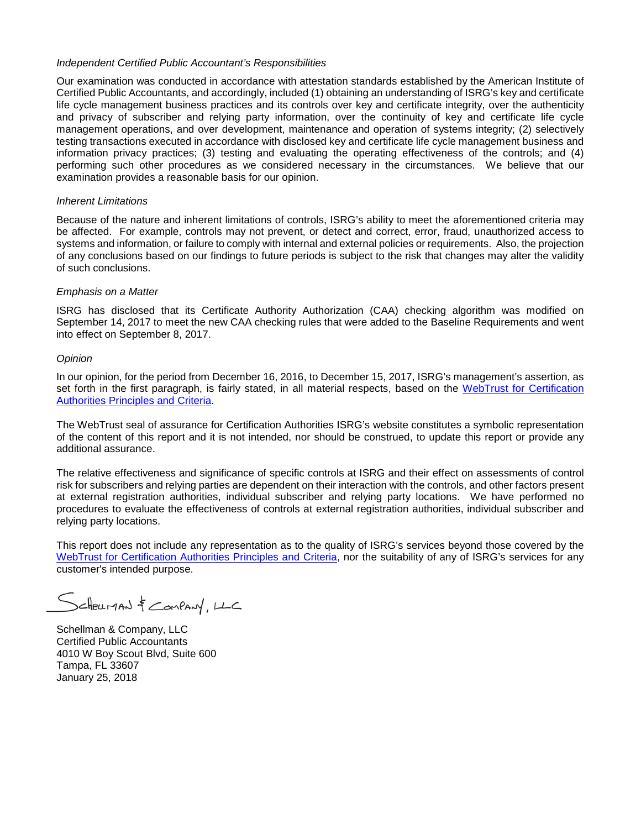## *Independent Certified Public Accountant's Responsibilities*

Our examination was conducted in accordance with attestation standards established by the American Institute of Certified Public Accountants, and accordingly, included (1) obtaining an understanding of ISRG's key and certificate life cycle management business practices and its controls over key and certificate integrity, over the authenticity and privacy of subscriber and relying party information, over the continuity of key and certificate life cycle management operations, and over development, maintenance and operation of systems integrity; (2) selectively testing transactions executed in accordance with disclosed key and certificate life cycle management business and information privacy practices; (3) testing and evaluating the operating effectiveness of the controls; and (4) performing such other procedures as we considered necessary in the circumstances. We believe that our examination provides a reasonable basis for our opinion.

#### *Inherent Limitations*

Because of the nature and inherent limitations of controls, ISRG's ability to meet the aforementioned criteria may be affected. For example, controls may not prevent, or detect and correct, error, fraud, unauthorized access to systems and information, or failure to comply with internal and external policies or requirements. Also, the projection of any conclusions based on our findings to future periods is subject to the risk that changes may alter the validity of such conclusions.

#### *Emphasis on a Matter*

ISRG has disclosed that its Certificate Authority Authorization (CAA) checking algorithm was modified on September 14, 2017 to meet the new CAA checking rules that were added to the Baseline Requirements and went into effect on September 8, 2017.

#### *Opinion*

In our opinion, for the period from December 16, 2016, to December 15, 2017, ISRG's management's assertion, as set forth in the first paragraph, is fairly stated, in all material respects, based on the [WebTrust for Certification](http://www.webtrust.org/homepage-documents/item54279.pdf)  [Authorities Principles and Criteria.](http://www.webtrust.org/homepage-documents/item54279.pdf)

The WebTrust seal of assurance for Certification Authorities ISRG's website constitutes a symbolic representation of the content of this report and it is not intended, nor should be construed, to update this report or provide any additional assurance.

The relative effectiveness and significance of specific controls at ISRG and their effect on assessments of control risk for subscribers and relying parties are dependent on their interaction with the controls, and other factors present at external registration authorities, individual subscriber and relying party locations. We have performed no procedures to evaluate the effectiveness of controls at external registration authorities, individual subscriber and relying party locations.

This report does not include any representation as to the quality of ISRG's services beyond those covered by the [WebTrust for Certification Authorities Principles and Criteria,](http://www.webtrust.org/homepage-documents/item54279.pdf) nor the suitability of any of ISRG's services for any customer's intended purpose.

SCHELLMAN & COMPANY, LLC

Schellman & Company, LLC Certified Public Accountants 4010 W Boy Scout Blvd, Suite 600 Tampa, FL 33607 January 25, 2018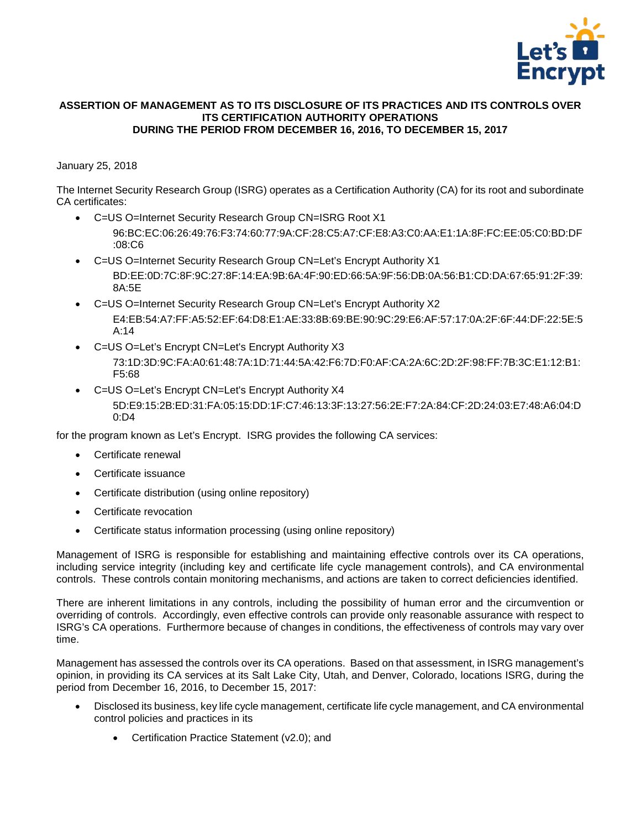

## <span id="page-2-0"></span>**ASSERTION OF MANAGEMENT AS TO ITS DISCLOSURE OF ITS PRACTICES AND ITS CONTROLS OVER ITS CERTIFICATION AUTHORITY OPERATIONS DURING THE PERIOD FROM DECEMBER 16, 2016, TO DECEMBER 15, 2017**

# January 25, 2018

The Internet Security Research Group (ISRG) operates as a Certification Authority (CA) for its root and subordinate CA certificates:

- C=US O=Internet Security Research Group CN=ISRG Root X1 96:BC:EC:06:26:49:76:F3:74:60:77:9A:CF:28:C5:A7:CF:E8:A3:C0:AA:E1:1A:8F:FC:EE:05:C0:BD:DF
- :08:C6 • C=US O=Internet Security Research Group CN=Let's Encrypt Authority X1
	- BD:EE:0D:7C:8F:9C:27:8F:14:EA:9B:6A:4F:90:ED:66:5A:9F:56:DB:0A:56:B1:CD:DA:67:65:91:2F:39: 8A:5E
- C=US O=Internet Security Research Group CN=Let's Encrypt Authority X2 E4:EB:54:A7:FF:A5:52:EF:64:D8:E1:AE:33:8B:69:BE:90:9C:29:E6:AF:57:17:0A:2F:6F:44:DF:22:5E:5 A:14
- C=US O=Let's Encrypt CN=Let's Encrypt Authority X3 73:1D:3D:9C:FA:A0:61:48:7A:1D:71:44:5A:42:F6:7D:F0:AF:CA:2A:6C:2D:2F:98:FF:7B:3C:E1:12:B1: F5:68
- C=US O=Let's Encrypt CN=Let's Encrypt Authority X4 5D:E9:15:2B:ED:31:FA:05:15:DD:1F:C7:46:13:3F:13:27:56:2E:F7:2A:84:CF:2D:24:03:E7:48:A6:04:D  $0:DA$

for the program known as Let's Encrypt. ISRG provides the following CA services:

- Certificate renewal
- Certificate issuance
- Certificate distribution (using online repository)
- Certificate revocation
- Certificate status information processing (using online repository)

Management of ISRG is responsible for establishing and maintaining effective controls over its CA operations, including service integrity (including key and certificate life cycle management controls), and CA environmental controls. These controls contain monitoring mechanisms, and actions are taken to correct deficiencies identified.

There are inherent limitations in any controls, including the possibility of human error and the circumvention or overriding of controls. Accordingly, even effective controls can provide only reasonable assurance with respect to ISRG's CA operations. Furthermore because of changes in conditions, the effectiveness of controls may vary over time.

Management has assessed the controls over its CA operations. Based on that assessment, in ISRG management's opinion, in providing its CA services at its Salt Lake City, Utah, and Denver, Colorado, locations ISRG, during the period from December 16, 2016, to December 15, 2017:

- Disclosed its business, key life cycle management, certificate life cycle management, and CA environmental control policies and practices in its
	- Certification Practice Statement (v2.0); and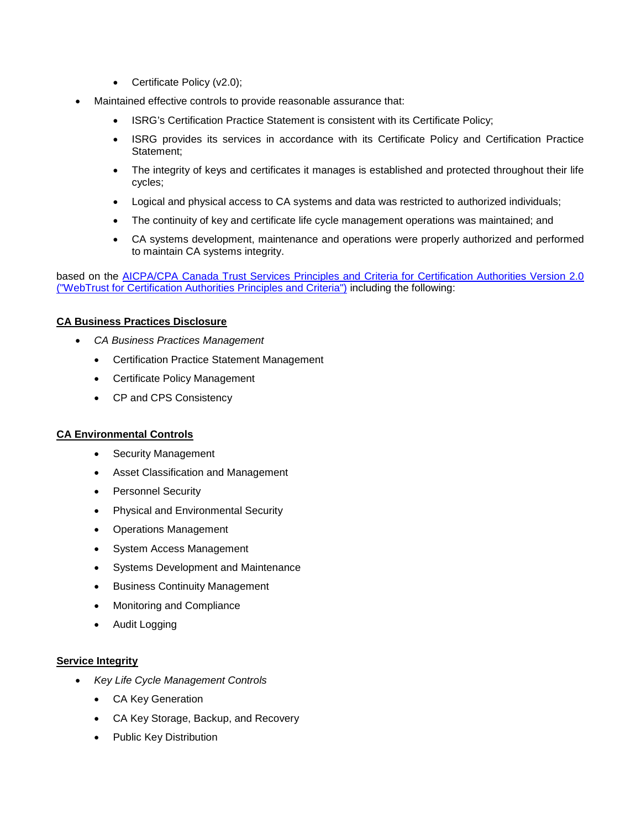- Certificate Policy (v2.0);
- Maintained effective controls to provide reasonable assurance that:
	- ISRG's Certification Practice Statement is consistent with its Certificate Policy;
	- ISRG provides its services in accordance with its Certificate Policy and Certification Practice Statement;
	- The integrity of keys and certificates it manages is established and protected throughout their life cycles;
	- Logical and physical access to CA systems and data was restricted to authorized individuals;
	- The continuity of key and certificate life cycle management operations was maintained; and
	- CA systems development, maintenance and operations were properly authorized and performed to maintain CA systems integrity.

based on the [AICPA/CPA Canada Trust Services Principles and Criteria for Certification Authorities Version 2.0](http://www.webtrust.org/homepage-documents/item54279.pdf)  [\("WebTrust for Certification Authorities Principles and Criteria"\)](http://www.webtrust.org/homepage-documents/item54279.pdf) including the following:

# **CA Business Practices Disclosure**

- *CA Business Practices Management*
	- Certification Practice Statement Management
	- Certificate Policy Management
	- CP and CPS Consistency

# **CA Environmental Controls**

- Security Management
- Asset Classification and Management
- Personnel Security
- Physical and Environmental Security
- Operations Management
- System Access Management
- Systems Development and Maintenance
- Business Continuity Management
- Monitoring and Compliance
- Audit Logging

## **Service Integrity**

- *Key Life Cycle Management Controls*
	- CA Key Generation
	- CA Key Storage, Backup, and Recovery
	- Public Key Distribution